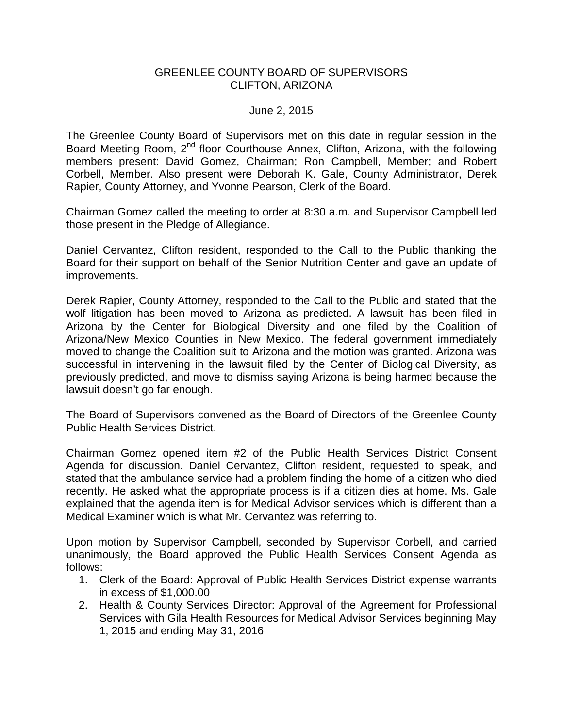## GREENLEE COUNTY BOARD OF SUPERVISORS CLIFTON, ARIZONA

## June 2, 2015

The Greenlee County Board of Supervisors met on this date in regular session in the Board Meeting Room, 2<sup>nd</sup> floor Courthouse Annex, Clifton, Arizona, with the following members present: David Gomez, Chairman; Ron Campbell, Member; and Robert Corbell, Member. Also present were Deborah K. Gale, County Administrator, Derek Rapier, County Attorney, and Yvonne Pearson, Clerk of the Board.

Chairman Gomez called the meeting to order at 8:30 a.m. and Supervisor Campbell led those present in the Pledge of Allegiance.

Daniel Cervantez, Clifton resident, responded to the Call to the Public thanking the Board for their support on behalf of the Senior Nutrition Center and gave an update of improvements.

Derek Rapier, County Attorney, responded to the Call to the Public and stated that the wolf litigation has been moved to Arizona as predicted. A lawsuit has been filed in Arizona by the Center for Biological Diversity and one filed by the Coalition of Arizona/New Mexico Counties in New Mexico. The federal government immediately moved to change the Coalition suit to Arizona and the motion was granted. Arizona was successful in intervening in the lawsuit filed by the Center of Biological Diversity, as previously predicted, and move to dismiss saying Arizona is being harmed because the lawsuit doesn't go far enough.

The Board of Supervisors convened as the Board of Directors of the Greenlee County Public Health Services District.

Chairman Gomez opened item #2 of the Public Health Services District Consent Agenda for discussion. Daniel Cervantez, Clifton resident, requested to speak, and stated that the ambulance service had a problem finding the home of a citizen who died recently. He asked what the appropriate process is if a citizen dies at home. Ms. Gale explained that the agenda item is for Medical Advisor services which is different than a Medical Examiner which is what Mr. Cervantez was referring to.

Upon motion by Supervisor Campbell, seconded by Supervisor Corbell, and carried unanimously, the Board approved the Public Health Services Consent Agenda as follows:

- 1. Clerk of the Board: Approval of Public Health Services District expense warrants in excess of \$1,000.00
- 2. Health & County Services Director: Approval of the Agreement for Professional Services with Gila Health Resources for Medical Advisor Services beginning May 1, 2015 and ending May 31, 2016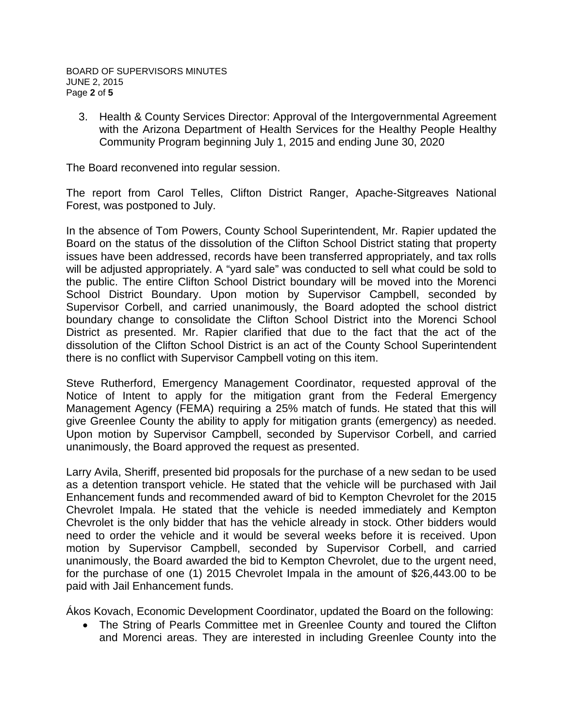3. Health & County Services Director: Approval of the Intergovernmental Agreement with the Arizona Department of Health Services for the Healthy People Healthy Community Program beginning July 1, 2015 and ending June 30, 2020

The Board reconvened into regular session.

The report from Carol Telles, Clifton District Ranger, Apache-Sitgreaves National Forest, was postponed to July.

In the absence of Tom Powers, County School Superintendent, Mr. Rapier updated the Board on the status of the dissolution of the Clifton School District stating that property issues have been addressed, records have been transferred appropriately, and tax rolls will be adjusted appropriately. A "yard sale" was conducted to sell what could be sold to the public. The entire Clifton School District boundary will be moved into the Morenci School District Boundary. Upon motion by Supervisor Campbell, seconded by Supervisor Corbell, and carried unanimously, the Board adopted the school district boundary change to consolidate the Clifton School District into the Morenci School District as presented. Mr. Rapier clarified that due to the fact that the act of the dissolution of the Clifton School District is an act of the County School Superintendent there is no conflict with Supervisor Campbell voting on this item.

Steve Rutherford, Emergency Management Coordinator, requested approval of the Notice of Intent to apply for the mitigation grant from the Federal Emergency Management Agency (FEMA) requiring a 25% match of funds. He stated that this will give Greenlee County the ability to apply for mitigation grants (emergency) as needed. Upon motion by Supervisor Campbell, seconded by Supervisor Corbell, and carried unanimously, the Board approved the request as presented.

Larry Avila, Sheriff, presented bid proposals for the purchase of a new sedan to be used as a detention transport vehicle. He stated that the vehicle will be purchased with Jail Enhancement funds and recommended award of bid to Kempton Chevrolet for the 2015 Chevrolet Impala. He stated that the vehicle is needed immediately and Kempton Chevrolet is the only bidder that has the vehicle already in stock. Other bidders would need to order the vehicle and it would be several weeks before it is received. Upon motion by Supervisor Campbell, seconded by Supervisor Corbell, and carried unanimously, the Board awarded the bid to Kempton Chevrolet, due to the urgent need, for the purchase of one (1) 2015 Chevrolet Impala in the amount of \$26,443.00 to be paid with Jail Enhancement funds.

Ákos Kovach, Economic Development Coordinator, updated the Board on the following:

• The String of Pearls Committee met in Greenlee County and toured the Clifton and Morenci areas. They are interested in including Greenlee County into the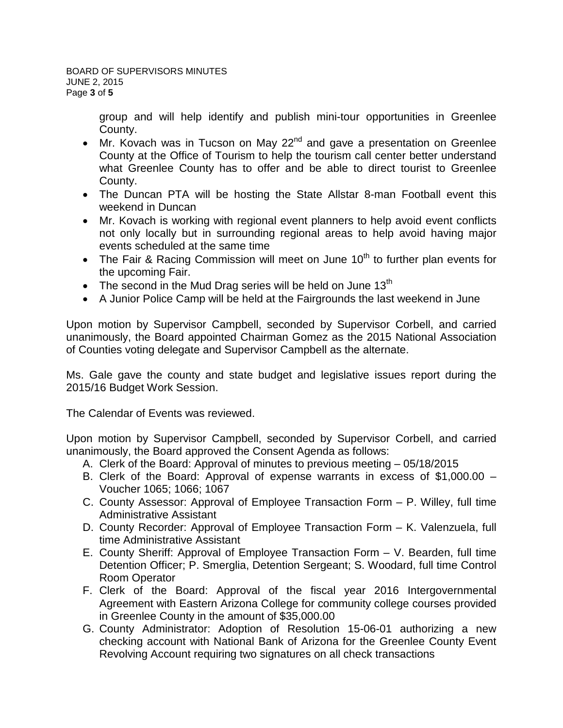group and will help identify and publish mini-tour opportunities in Greenlee County.

- Mr. Kovach was in Tucson on May  $22^{nd}$  and gave a presentation on Greenlee County at the Office of Tourism to help the tourism call center better understand what Greenlee County has to offer and be able to direct tourist to Greenlee County.
- The Duncan PTA will be hosting the State Allstar 8-man Football event this weekend in Duncan
- Mr. Kovach is working with regional event planners to help avoid event conflicts not only locally but in surrounding regional areas to help avoid having major events scheduled at the same time
- The Fair & Racing Commission will meet on June  $10<sup>th</sup>$  to further plan events for the upcoming Fair.
- The second in the Mud Drag series will be held on June 13<sup>th</sup>
- A Junior Police Camp will be held at the Fairgrounds the last weekend in June

Upon motion by Supervisor Campbell, seconded by Supervisor Corbell, and carried unanimously, the Board appointed Chairman Gomez as the 2015 National Association of Counties voting delegate and Supervisor Campbell as the alternate.

Ms. Gale gave the county and state budget and legislative issues report during the 2015/16 Budget Work Session.

The Calendar of Events was reviewed.

Upon motion by Supervisor Campbell, seconded by Supervisor Corbell, and carried unanimously, the Board approved the Consent Agenda as follows:

- A. Clerk of the Board: Approval of minutes to previous meeting 05/18/2015
- B. Clerk of the Board: Approval of expense warrants in excess of \$1,000.00 Voucher 1065; 1066; 1067
- C. County Assessor: Approval of Employee Transaction Form P. Willey, full time Administrative Assistant
- D. County Recorder: Approval of Employee Transaction Form K. Valenzuela, full time Administrative Assistant
- E. County Sheriff: Approval of Employee Transaction Form V. Bearden, full time Detention Officer; P. Smerglia, Detention Sergeant; S. Woodard, full time Control Room Operator
- F. Clerk of the Board: Approval of the fiscal year 2016 Intergovernmental Agreement with Eastern Arizona College for community college courses provided in Greenlee County in the amount of \$35,000.00
- G. County Administrator: Adoption of Resolution 15-06-01 authorizing a new checking account with National Bank of Arizona for the Greenlee County Event Revolving Account requiring two signatures on all check transactions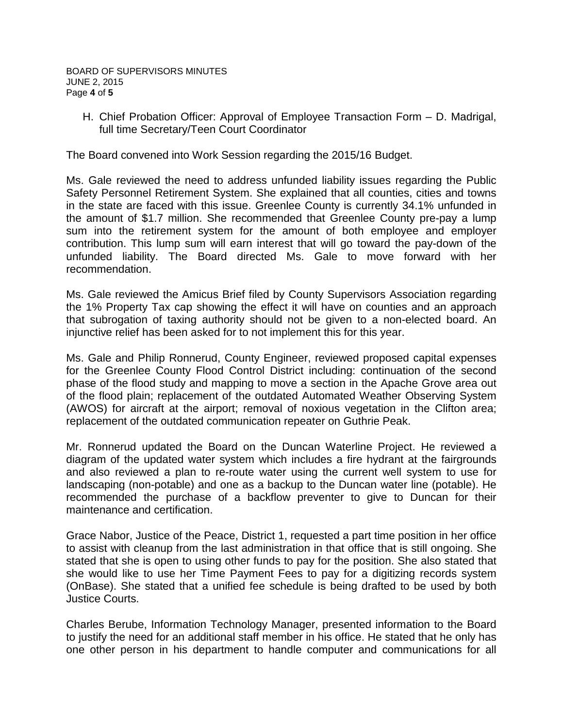H. Chief Probation Officer: Approval of Employee Transaction Form – D. Madrigal, full time Secretary/Teen Court Coordinator

The Board convened into Work Session regarding the 2015/16 Budget.

Ms. Gale reviewed the need to address unfunded liability issues regarding the Public Safety Personnel Retirement System. She explained that all counties, cities and towns in the state are faced with this issue. Greenlee County is currently 34.1% unfunded in the amount of \$1.7 million. She recommended that Greenlee County pre-pay a lump sum into the retirement system for the amount of both employee and employer contribution. This lump sum will earn interest that will go toward the pay-down of the unfunded liability. The Board directed Ms. Gale to move forward with her recommendation.

Ms. Gale reviewed the Amicus Brief filed by County Supervisors Association regarding the 1% Property Tax cap showing the effect it will have on counties and an approach that subrogation of taxing authority should not be given to a non-elected board. An injunctive relief has been asked for to not implement this for this year.

Ms. Gale and Philip Ronnerud, County Engineer, reviewed proposed capital expenses for the Greenlee County Flood Control District including: continuation of the second phase of the flood study and mapping to move a section in the Apache Grove area out of the flood plain; replacement of the outdated Automated Weather Observing System (AWOS) for aircraft at the airport; removal of noxious vegetation in the Clifton area; replacement of the outdated communication repeater on Guthrie Peak.

Mr. Ronnerud updated the Board on the Duncan Waterline Project. He reviewed a diagram of the updated water system which includes a fire hydrant at the fairgrounds and also reviewed a plan to re-route water using the current well system to use for landscaping (non-potable) and one as a backup to the Duncan water line (potable). He recommended the purchase of a backflow preventer to give to Duncan for their maintenance and certification.

Grace Nabor, Justice of the Peace, District 1, requested a part time position in her office to assist with cleanup from the last administration in that office that is still ongoing. She stated that she is open to using other funds to pay for the position. She also stated that she would like to use her Time Payment Fees to pay for a digitizing records system (OnBase). She stated that a unified fee schedule is being drafted to be used by both Justice Courts.

Charles Berube, Information Technology Manager, presented information to the Board to justify the need for an additional staff member in his office. He stated that he only has one other person in his department to handle computer and communications for all